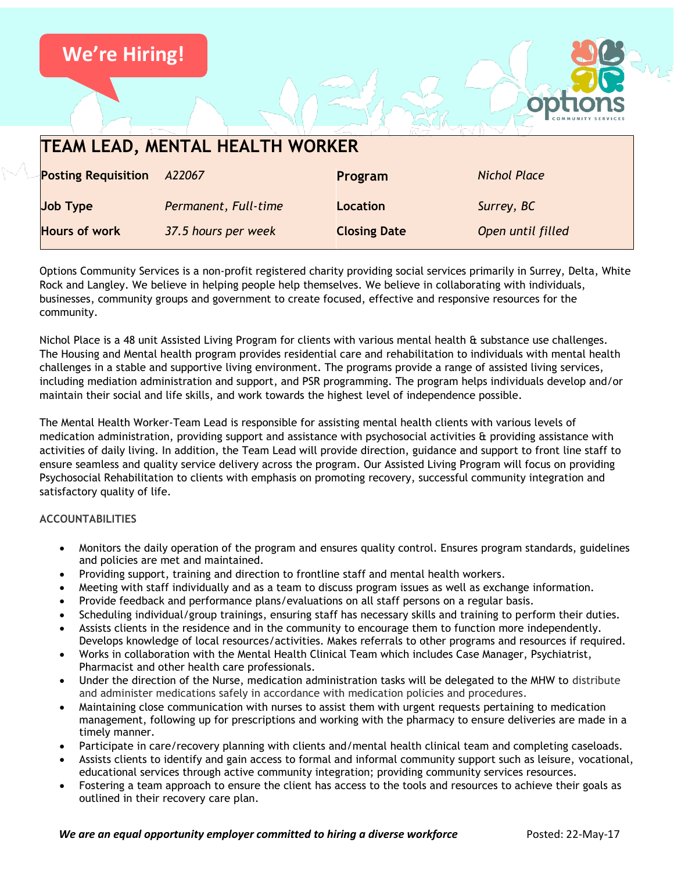

Options Community Services is a non-profit registered charity providing social services primarily in Surrey, Delta, White Rock and Langley. We believe in helping people help themselves. We believe in collaborating with individuals, businesses, community groups and government to create focused, effective and responsive resources for the community.

Nichol Place is a 48 unit Assisted Living Program for clients with various mental health & substance use challenges. The Housing and Mental health program provides residential care and rehabilitation to individuals with mental health challenges in a stable and supportive living environment. The programs provide a range of assisted living services, including mediation administration and support, and PSR programming. The program helps individuals develop and/or maintain their social and life skills, and work towards the highest level of independence possible.

The Mental Health Worker-Team Lead is responsible for assisting mental health clients with various levels of medication administration, providing support and assistance with psychosocial activities & providing assistance with activities of daily living. In addition, the Team Lead will provide direction, guidance and support to front line staff to ensure seamless and quality service delivery across the program. Our Assisted Living Program will focus on providing Psychosocial Rehabilitation to clients with emphasis on promoting recovery, successful community integration and satisfactory quality of life.

## **ACCOUNTABILITIES**

- Monitors the daily operation of the program and ensures quality control. Ensures program standards, guidelines and policies are met and maintained.
- Providing support, training and direction to frontline staff and mental health workers.
- Meeting with staff individually and as a team to discuss program issues as well as exchange information.
- Provide feedback and performance plans/evaluations on all staff persons on a regular basis.
- Scheduling individual/group trainings, ensuring staff has necessary skills and training to perform their duties.
- Assists clients in the residence and in the community to encourage them to function more independently. Develops knowledge of local resources/activities. Makes referrals to other programs and resources if required.
- Works in collaboration with the Mental Health Clinical Team which includes Case Manager, Psychiatrist, Pharmacist and other health care professionals.
- Under the direction of the Nurse, medication administration tasks will be delegated to the MHW to distribute and administer medications safely in accordance with medication policies and procedures.
- Maintaining close communication with nurses to assist them with urgent requests pertaining to medication management, following up for prescriptions and working with the pharmacy to ensure deliveries are made in a timely manner.
- Participate in care/recovery planning with clients and/mental health clinical team and completing caseloads.
- Assists clients to identify and gain access to formal and informal community support such as leisure, vocational, educational services through active community integration; providing community services resources.
- Fostering a team approach to ensure the client has access to the tools and resources to achieve their goals as outlined in their recovery care plan.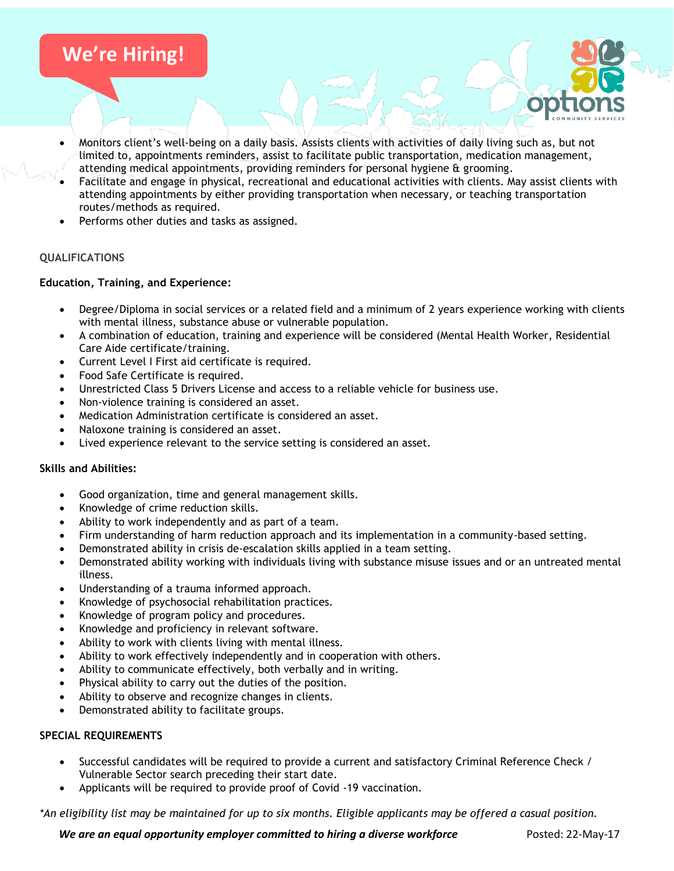# **We're Hiring!**

- Monitors client's well-being on a daily basis. Assists clients with activities of daily living such as, but not limited to, appointments reminders, assist to facilitate public transportation, medication management, attending medical appointments, providing reminders for personal hygiene & grooming.
- Facilitate and engage in physical, recreational and educational activities with clients. May assist clients with attending appointments by either providing transportation when necessary, or teaching transportation routes/methods as required.
- Performs other duties and tasks as assigned.

## **QUALIFICATIONS**

#### **Education, Training, and Experience:**

- Degree/Diploma in social services or a related field and a minimum of 2 years experience working with clients with mental illness, substance abuse or vulnerable population.
- A combination of education, training and experience will be considered (Mental Health Worker, Residential Care Aide certificate/training.
- Current Level I First aid certificate is required.
- Food Safe Certificate is required.
- Unrestricted Class 5 Drivers License and access to a reliable vehicle for business use.
- Non-violence training is considered an asset.
- Medication Administration certificate is considered an asset.
- Naloxone training is considered an asset.
- Lived experience relevant to the service setting is considered an asset.

#### **Skills and Abilities:**

- Good organization, time and general management skills.
- Knowledge of crime reduction skills.
- Ability to work independently and as part of a team.
- Firm understanding of harm reduction approach and its implementation in a community-based setting.
- Demonstrated ability in crisis de-escalation skills applied in a team setting.
- Demonstrated ability working with individuals living with substance misuse issues and or an untreated mental illness.
- Understanding of a trauma informed approach.
- Knowledge of psychosocial rehabilitation practices.
- Knowledge of program policy and procedures.
- Knowledge and proficiency in relevant software.
- Ability to work with clients living with mental illness.
- Ability to work effectively independently and in cooperation with others.
- Ability to communicate effectively, both verbally and in writing.
- Physical ability to carry out the duties of the position.
- Ability to observe and recognize changes in clients.
- Demonstrated ability to facilitate groups.

#### **SPECIAL REQUIREMENTS**

- Successful candidates will be required to provide a current and satisfactory Criminal Reference Check / Vulnerable Sector search preceding their start date.
- Applicants will be required to provide proof of Covid -19 vaccination.

*\*An eligibility list may be maintained for up to six months. Eligible applicants may be offered a casual position.*

*We are an equal opportunity employer committed to hiring a diverse workforce* **Posted: 22-May-17**